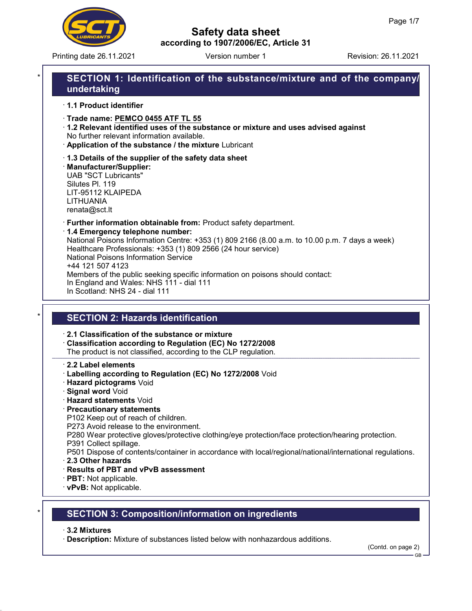

Printing date 26.11.2021 Version number 1 Revision: 26.11.2021

# Safety data sheet according to 1907/2006/EC, Article 31

# SECTION 1: Identification of the substance/mixture and of the company/ undertaking

· 1.1 Product identifier

· Trade name: PEMCO 0455 ATF TL 55

- · 1.2 Relevant identified uses of the substance or mixture and uses advised against No further relevant information available.
- · Application of the substance / the mixture Lubricant
- · 1.3 Details of the supplier of the safety data sheet

· Manufacturer/Supplier: UAB "SCT Lubricants" Silutes Pl. 119 LIT-95112 KLAIPEDA LITHUANIA renata@sct.lt

· Further information obtainable from: Product safety department.

### · 1.4 Emergency telephone number:

National Poisons Information Centre: +353 (1) 809 2166 (8.00 a.m. to 10.00 p.m. 7 days a week) Healthcare Professionals: +353 (1) 809 2566 (24 hour service) National Poisons Information Service +44 121 507 4123 Members of the public seeking specific information on poisons should contact: In England and Wales: NHS 111 - dial 111 In Scotland: NHS 24 - dial 111

# **SECTION 2: Hazards identification**

· 2.1 Classification of the substance or mixture

· Classification according to Regulation (EC) No 1272/2008 The product is not classified, according to the CLP regulation.

### · 2.2 Label elements

- · Labelling according to Regulation (EC) No 1272/2008 Void
- · Hazard pictograms Void
- · Signal word Void
- · Hazard statements Void

### · Precautionary statements

P102 Keep out of reach of children.

P273 Avoid release to the environment.

P280 Wear protective gloves/protective clothing/eye protection/face protection/hearing protection.

- P391 Collect spillage.
- P501 Dispose of contents/container in accordance with local/regional/national/international regulations.
- · 2.3 Other hazards
- · Results of PBT and vPvB assessment
- · PBT: Not applicable.
- · vPvB: Not applicable.

# **SECTION 3: Composition/information on ingredients**

### · 3.2 Mixtures

53.2.2

· Description: Mixture of substances listed below with nonhazardous additions.

(Contd. on page 2)

GB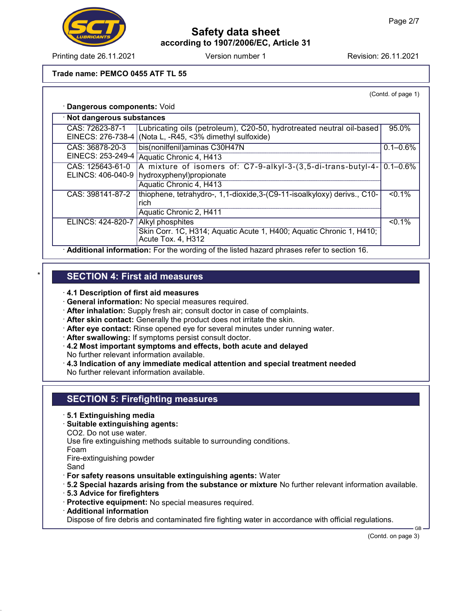

# Safety data sheet according to 1907/2006/EC, Article 31

Printing date 26.11.2021 Version number 1 Revision: 26.11.2021

### Trade name: PEMCO 0455 ATF TL 55

(Contd. of page 1)

|  |  |  | · Dangerous components: Void |  |
|--|--|--|------------------------------|--|
|--|--|--|------------------------------|--|

| · Not dangerous substances                                                                |                                                                                                                |               |  |
|-------------------------------------------------------------------------------------------|----------------------------------------------------------------------------------------------------------------|---------------|--|
| CAS: 72623-87-1<br>EINECS: 276-738-4                                                      | Lubricating oils (petroleum), C20-50, hydrotreated neutral oil-based<br>(Nota L, -R45, <3% dimethyl sulfoxide) | 95.0%         |  |
| CAS: 36878-20-3                                                                           | bis(nonilfenil) aminas C30H47N                                                                                 | $0.1 - 0.6\%$ |  |
| EINECS: 253-249-4                                                                         | Aquatic Chronic 4, H413                                                                                        |               |  |
| CAS: 125643-61-0                                                                          | A mixture of isomers of: C7-9-alkyl-3-(3,5-di-trans-butyl-4-                                                   | $0.1 - 0.6\%$ |  |
| ELINCS: 406-040-9                                                                         | hydroxyphenyl) propionate                                                                                      |               |  |
|                                                                                           | Aquatic Chronic 4, H413                                                                                        |               |  |
| CAS: 398141-87-2                                                                          | thiophene, tetrahydro-, 1,1-dioxide, 3-(C9-11-isoalkyloxy) derivs., C10-                                       | $< 0.1\%$     |  |
|                                                                                           | rich                                                                                                           |               |  |
|                                                                                           | Aquatic Chronic 2, H411                                                                                        |               |  |
| ELINCS: 424-820-7                                                                         | Alkyl phosphites                                                                                               | $< 0.1\%$     |  |
|                                                                                           | Skin Corr. 1C, H314; Aquatic Acute 1, H400; Aquatic Chronic 1, H410;<br>Acute Tox. 4, H312                     |               |  |
| Additional information: For the wording of the listed hazard phrases refer to section 16. |                                                                                                                |               |  |

## **SECTION 4: First aid measures**

- · 4.1 Description of first aid measures
- · General information: No special measures required.
- · After inhalation: Supply fresh air; consult doctor in case of complaints.
- · After skin contact: Generally the product does not irritate the skin.
- · After eye contact: Rinse opened eye for several minutes under running water.
- · After swallowing: If symptoms persist consult doctor.
- · 4.2 Most important symptoms and effects, both acute and delayed No further relevant information available.
- · 4.3 Indication of any immediate medical attention and special treatment needed No further relevant information available.

## SECTION 5: Firefighting measures

- · 5.1 Extinguishing media
- · Suitable extinguishing agents:
- CO2. Do not use water.

Use fire extinguishing methods suitable to surrounding conditions.

Foam

Fire-extinguishing powder

Sand

53.2.2

- · For safety reasons unsuitable extinguishing agents: Water
- · 5.2 Special hazards arising from the substance or mixture No further relevant information available.
- · 5.3 Advice for firefighters
- · Protective equipment: No special measures required.
- · Additional information

Dispose of fire debris and contaminated fire fighting water in accordance with official regulations.

(Contd. on page 3)

GB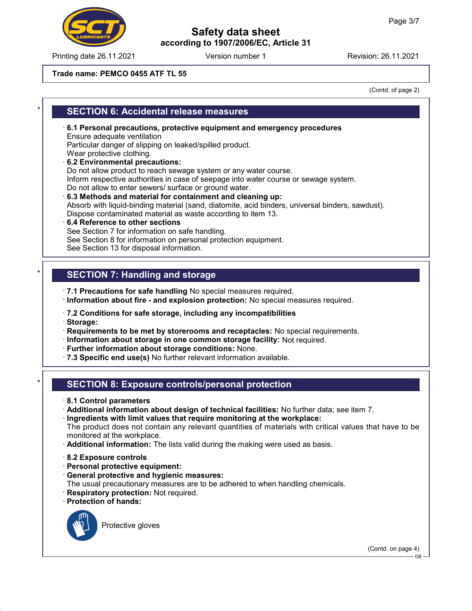Printing date 26.11.2021 Revision: 26.11.2021 Version number 1

# Safety data sheet according to 1907/2006/EC, Article 31

#### Trade name: PEMCO 0455 ATF TL 55

(Contd. of page 2)

## **SECTION 6: Accidental release measures**

- · 6.1 Personal precautions, protective equipment and emergency procedures Ensure adequate ventilation Particular danger of slipping on leaked/spilled product. Wear protective clothing. · 6.2 Environmental precautions:
- Do not allow product to reach sewage system or any water course. Inform respective authorities in case of seepage into water course or sewage system. Do not allow to enter sewers/ surface or ground water.
- · 6.3 Methods and material for containment and cleaning up: Absorb with liquid-binding material (sand, diatomite, acid binders, universal binders, sawdust). Dispose contaminated material as waste according to item 13.
- · 6.4 Reference to other sections See Section 7 for information on safe handling. See Section 8 for information on personal protection equipment. See Section 13 for disposal information.

## SECTION 7: Handling and storage

· 7.1 Precautions for safe handling No special measures required.

- · Information about fire and explosion protection: No special measures required.
- · 7.2 Conditions for safe storage, including any incompatibilities
- · Storage:

· Requirements to be met by storerooms and receptacles: No special requirements.

- · Information about storage in one common storage facility: Not required.
- · Further information about storage conditions: None.
- · 7.3 Specific end use(s) No further relevant information available.

### **SECTION 8: Exposure controls/personal protection**

- · 8.1 Control parameters
- · Additional information about design of technical facilities: No further data; see item 7.
- · Ingredients with limit values that require monitoring at the workplace:
- The product does not contain any relevant quantities of materials with critical values that have to be monitored at the workplace.
- · Additional information: The lists valid during the making were used as basis.
- · 8.2 Exposure controls
- · Personal protective equipment:
- · General protective and hygienic measures:
- The usual precautionary measures are to be adhered to when handling chemicals.
- · Respiratory protection: Not required.
- · Protection of hands:



53.2.2

Protective gloves

(Contd. on page 4)

GB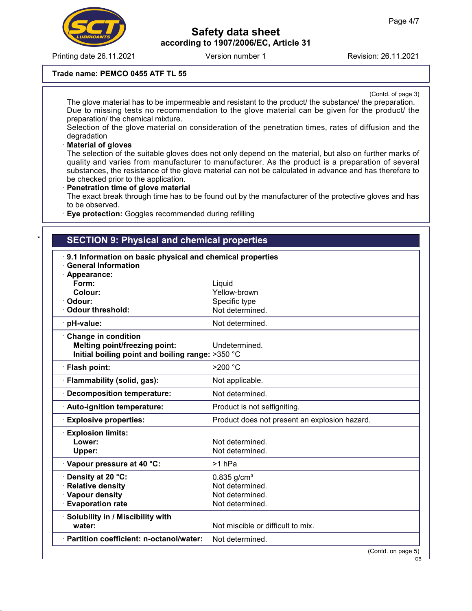

Printing date 26.11.2021 **Revision: 26.11.2021** Version number 1

# Safety data sheet according to 1907/2006/EC, Article 31

### Trade name: PEMCO 0455 ATF TL 55

(Contd. of page 3)

The glove material has to be impermeable and resistant to the product/ the substance/ the preparation. Due to missing tests no recommendation to the glove material can be given for the product/ the preparation/ the chemical mixture.

Selection of the glove material on consideration of the penetration times, rates of diffusion and the degradation

### **Material of gloves**

53.2.2

The selection of the suitable gloves does not only depend on the material, but also on further marks of quality and varies from manufacturer to manufacturer. As the product is a preparation of several substances, the resistance of the glove material can not be calculated in advance and has therefore to be checked prior to the application.

### · Penetration time of glove material

The exact break through time has to be found out by the manufacturer of the protective gloves and has to be observed.

· Eye protection: Goggles recommended during refilling

# **SECTION 9: Physical and chemical properties**

| 9.1 Information on basic physical and chemical properties |                                               |
|-----------------------------------------------------------|-----------------------------------------------|
| <b>General Information</b>                                |                                               |
| · Appearance:<br>Form:                                    | Liquid                                        |
| Colour:                                                   | Yellow-brown                                  |
| Odour:                                                    | Specific type                                 |
| <b>Odour threshold:</b>                                   | Not determined.                               |
| · pH-value:                                               | Not determined.                               |
| <b>Change in condition</b>                                |                                               |
| Melting point/freezing point:                             | Undetermined.                                 |
| Initial boiling point and boiling range: >350 °C          |                                               |
| · Flash point:                                            | >200 °C                                       |
| · Flammability (solid, gas):                              | Not applicable.                               |
| <b>Decomposition temperature:</b>                         | Not determined.                               |
| · Auto-ignition temperature:                              | Product is not selfigniting.                  |
| <b>Explosive properties:</b>                              | Product does not present an explosion hazard. |
| <b>Explosion limits:</b>                                  |                                               |
| Lower:                                                    | Not determined.                               |
| Upper:                                                    | Not determined.                               |
| · Vapour pressure at 40 °C:                               | >1 <sub>hPa</sub>                             |
| <b>· Density at 20 °C:</b>                                | $0.835$ g/cm <sup>3</sup>                     |
| <b>Relative density</b>                                   | Not determined.                               |
| · Vapour density                                          | Not determined.                               |
| <b>Evaporation rate</b>                                   | Not determined.                               |
| · Solubility in / Miscibility with                        |                                               |
| water:                                                    | Not miscible or difficult to mix.             |
| · Partition coefficient: n-octanol/water:                 | Not determined.                               |
|                                                           | (Contd. on page 5)<br>— GR –                  |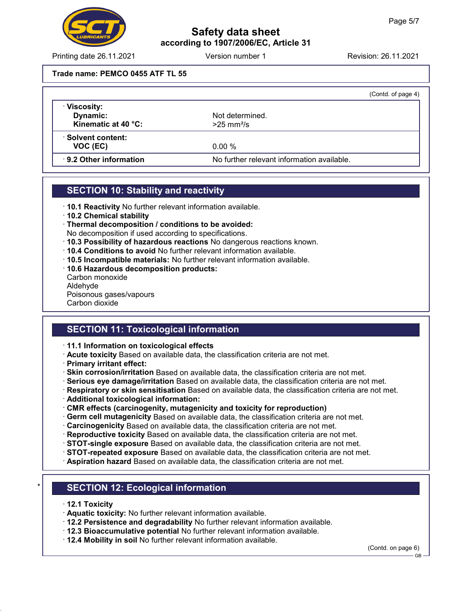

## Safety data sheet according to 1907/2006/EC, Article 31

Printing date 26.11.2021 **Revision: 26.11.2021** Version number 1 Revision: 26.11.2021

#### Trade name: PEMCO 0455 ATF TL 55

|                                                 |                                             | (Contd. of page 4) |
|-------------------------------------------------|---------------------------------------------|--------------------|
| · Viscosity:<br>Dynamic:<br>Kinematic at 40 °C: | Not determined.<br>$>25$ mm <sup>2</sup> /s |                    |
| · Solvent content:<br>VOC (EC)                  | 0.00%                                       |                    |
| 9.2 Other information                           | No further relevant information available.  |                    |

## SECTION 10: Stability and reactivity

- · 10.1 Reactivity No further relevant information available.
- · 10.2 Chemical stability
- · Thermal decomposition / conditions to be avoided:
- No decomposition if used according to specifications.
- · 10.3 Possibility of hazardous reactions No dangerous reactions known.
- · 10.4 Conditions to avoid No further relevant information available.
- · 10.5 Incompatible materials: No further relevant information available.
- · 10.6 Hazardous decomposition products:
- Carbon monoxide Aldehyde Poisonous gases/vapours

Carbon dioxide

## SECTION 11: Toxicological information

- · 11.1 Information on toxicological effects
- · Acute toxicity Based on available data, the classification criteria are not met.
- · Primary irritant effect:
- · Skin corrosion/irritation Based on available data, the classification criteria are not met.
- · Serious eye damage/irritation Based on available data, the classification criteria are not met.
- · Respiratory or skin sensitisation Based on available data, the classification criteria are not met.
- · Additional toxicological information:
- · CMR effects (carcinogenity, mutagenicity and toxicity for reproduction)
- · Germ cell mutagenicity Based on available data, the classification criteria are not met.
- · Carcinogenicity Based on available data, the classification criteria are not met.
- · Reproductive toxicity Based on available data, the classification criteria are not met.
- · STOT-single exposure Based on available data, the classification criteria are not met.
- · STOT-repeated exposure Based on available data, the classification criteria are not met.
- · Aspiration hazard Based on available data, the classification criteria are not met.

## **SECTION 12: Ecological information**

· 12.1 Toxicity

53.2.2

- · Aquatic toxicity: No further relevant information available.
- · 12.2 Persistence and degradability No further relevant information available.
- · 12.3 Bioaccumulative potential No further relevant information available.
- · 12.4 Mobility in soil No further relevant information available.

(Contd. on page 6)

GB-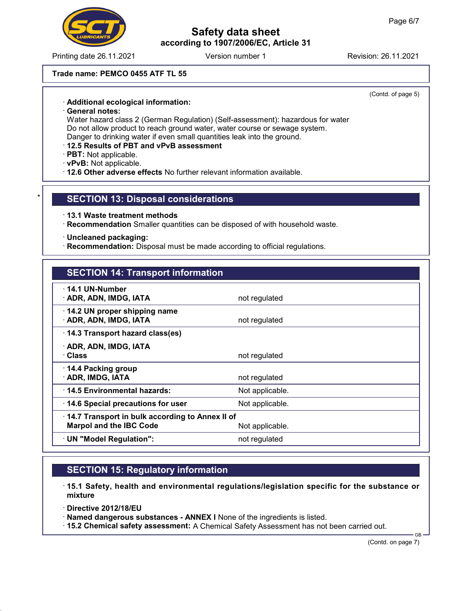# Safety data sheet according to 1907/2006/EC, Article 31

Printing date 26.11.2021 Version number 1 Revision: 26.11.2021

#### Trade name: PEMCO 0455 ATF TL 55

(Contd. of page 5)

#### · Additional ecological information:

· General notes:

Water hazard class 2 (German Regulation) (Self-assessment): hazardous for water Do not allow product to reach ground water, water course or sewage system. Danger to drinking water if even small quantities leak into the ground.

#### · 12.5 Results of PBT and vPvB assessment

· PBT: Not applicable.

- · vPvB: Not applicable.
- · 12.6 Other adverse effects No further relevant information available.

### **SECTION 13: Disposal considerations**

- · 13.1 Waste treatment methods
- · Recommendation Smaller quantities can be disposed of with household waste.
- · Uncleaned packaging:
- · Recommendation: Disposal must be made according to official regulations.

### SECTION 14: Transport information

| not regulated                                                                                        |  |
|------------------------------------------------------------------------------------------------------|--|
| not regulated                                                                                        |  |
| 14.3 Transport hazard class(es)                                                                      |  |
| not regulated                                                                                        |  |
| not regulated                                                                                        |  |
| Not applicable.                                                                                      |  |
| Not applicable.                                                                                      |  |
| 14.7 Transport in bulk according to Annex II of<br><b>Marpol and the IBC Code</b><br>Not applicable. |  |
| not regulated                                                                                        |  |
|                                                                                                      |  |

## SECTION 15: Regulatory information

- · 15.1 Safety, health and environmental regulations/legislation specific for the substance or mixture
- · Directive 2012/18/EU

53.2.2

- · Named dangerous substances ANNEX I None of the ingredients is listed.
- · 15.2 Chemical safety assessment: A Chemical Safety Assessment has not been carried out.

(Contd. on page 7)

GB